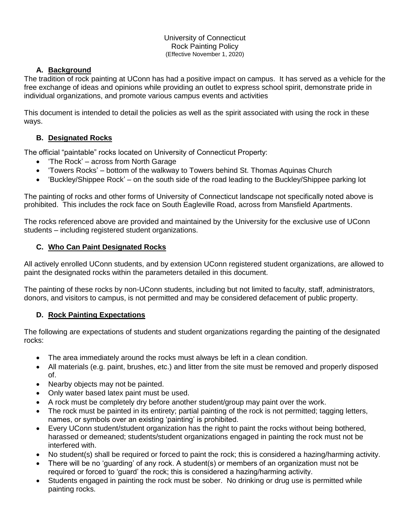University of Connecticut Rock Painting Policy (Effective November 1, 2020)

# **A. Background**

The tradition of rock painting at UConn has had a positive impact on campus. It has served as a vehicle for the free exchange of ideas and opinions while providing an outlet to express school spirit, demonstrate pride in individual organizations, and promote various campus events and activities

This document is intended to detail the policies as well as the spirit associated with using the rock in these ways.

### **B. Designated Rocks**

The official "paintable" rocks located on University of Connecticut Property:

- 'The Rock' across from North Garage
- 'Towers Rocks' bottom of the walkway to Towers behind St. Thomas Aquinas Church
- 'Buckley/Shippee Rock' on the south side of the road leading to the Buckley/Shippee parking lot

The painting of rocks and other forms of University of Connecticut landscape not specifically noted above is prohibited. This includes the rock face on South Eagleville Road, across from Mansfield Apartments.

The rocks referenced above are provided and maintained by the University for the exclusive use of UConn students – including registered student organizations.

#### **C. Who Can Paint Designated Rocks**

All actively enrolled UConn students, and by extension UConn registered student organizations, are allowed to paint the designated rocks within the parameters detailed in this document.

The painting of these rocks by non-UConn students, including but not limited to faculty, staff, administrators, donors, and visitors to campus, is not permitted and may be considered defacement of public property.

# **D. Rock Painting Expectations**

The following are expectations of students and student organizations regarding the painting of the designated rocks:

- The area immediately around the rocks must always be left in a clean condition.
- All materials (e.g. paint, brushes, etc.) and litter from the site must be removed and properly disposed of.
- Nearby objects may not be painted.
- Only water based latex paint must be used.
- A rock must be completely dry before another student/group may paint over the work.
- The rock must be painted in its entirety; partial painting of the rock is not permitted; tagging letters, names, or symbols over an existing 'painting' is prohibited.
- Every UConn student/student organization has the right to paint the rocks without being bothered, harassed or demeaned; students/student organizations engaged in painting the rock must not be interfered with.
- No student(s) shall be required or forced to paint the rock; this is considered a hazing/harming activity.
- There will be no 'guarding' of any rock. A student(s) or members of an organization must not be required or forced to 'guard' the rock; this is considered a hazing/harming activity.
- Students engaged in painting the rock must be sober. No drinking or drug use is permitted while painting rocks.